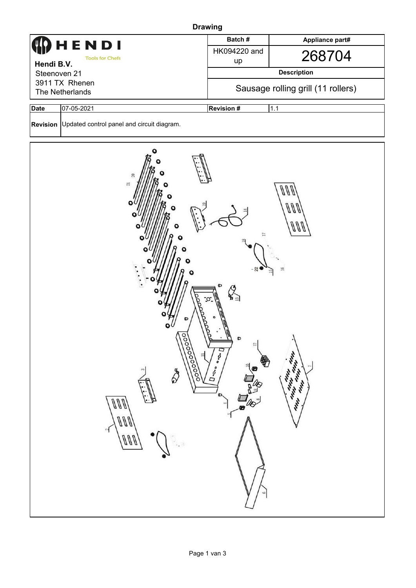| <b>Drawing</b>                                                                    |                                                                                                                                                |                                                       |  |  |  |  |  |  |
|-----------------------------------------------------------------------------------|------------------------------------------------------------------------------------------------------------------------------------------------|-------------------------------------------------------|--|--|--|--|--|--|
| HENDI                                                                             | Batch#                                                                                                                                         | Appliance part#                                       |  |  |  |  |  |  |
| <b>Tools for Chefs</b>                                                            | HK094220 and                                                                                                                                   | 268704                                                |  |  |  |  |  |  |
| Hendi B.V.                                                                        | up                                                                                                                                             |                                                       |  |  |  |  |  |  |
| Steenoven 21<br>3911 TX Rhenen                                                    | <b>Description</b>                                                                                                                             |                                                       |  |  |  |  |  |  |
| The Netherlands                                                                   | Sausage rolling grill (11 rollers)                                                                                                             |                                                       |  |  |  |  |  |  |
| <b>Date</b><br>07-05-2021                                                         | <b>Revision #</b>                                                                                                                              | 1.1                                                   |  |  |  |  |  |  |
| Revision Updated control panel and circuit diagram.                               |                                                                                                                                                |                                                       |  |  |  |  |  |  |
| 20<br>$\overline{21}$<br>Toooooooo<br>⊨<br>\$<br>$\omega$<br>ann<br>ann<br>$\sim$ | Ö<br>W,<br>p<br>$\bullet$<br>$12\,$<br>$D\cdot \circ \cdot \circ$<br>$\overline{\mathbf{U}}$ - $\mathbf{O}_{\bullet\bullet}$<br>Ø<br>D<br>-100 | 11<br>Л<br>$\Xi$<br>Antistic Line<br>Allen And<br>th. |  |  |  |  |  |  |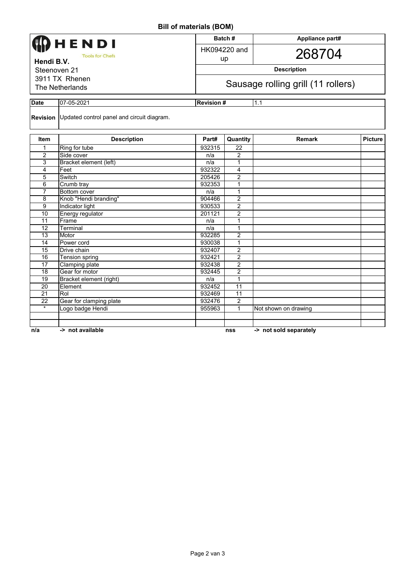**Bill of materials (BOM)**

| וווט (וויטש) פוגוויווא וויט                                                                                 |                                                     |                   |                                    |                 |                |  |  |  |  |  |
|-------------------------------------------------------------------------------------------------------------|-----------------------------------------------------|-------------------|------------------------------------|-----------------|----------------|--|--|--|--|--|
| <b>CDHENDI</b><br><b>Tools for Chefs</b><br>Hendi B.V.<br>Steenoven 21<br>3911 TX Rhenen<br>The Netherlands |                                                     |                   | Batch#                             | Appliance part# |                |  |  |  |  |  |
|                                                                                                             |                                                     |                   | HK094220 and<br>up                 | 268704          |                |  |  |  |  |  |
|                                                                                                             |                                                     |                   | <b>Description</b>                 |                 |                |  |  |  |  |  |
|                                                                                                             |                                                     |                   | Sausage rolling grill (11 rollers) |                 |                |  |  |  |  |  |
| <b>Date</b>                                                                                                 | 07-05-2021                                          | <b>Revision #</b> |                                    | 1.1             |                |  |  |  |  |  |
|                                                                                                             | Revision Updated control panel and circuit diagram. |                   |                                    |                 |                |  |  |  |  |  |
| <b>Item</b>                                                                                                 | <b>Description</b>                                  | Part#             | Quantity                           | <b>Remark</b>   | <b>Picture</b> |  |  |  |  |  |
|                                                                                                             | Ring for tube                                       | 932315            | 22                                 |                 |                |  |  |  |  |  |
| 2                                                                                                           | Side cover                                          | n/a               | 2                                  |                 |                |  |  |  |  |  |
| 3                                                                                                           | Bracket element (left)                              | n/a               |                                    |                 |                |  |  |  |  |  |
| 4                                                                                                           | Feet                                                | 932322            | 4                                  |                 |                |  |  |  |  |  |
| 5                                                                                                           | Switch                                              | 205426            | 2                                  |                 |                |  |  |  |  |  |
| 6                                                                                                           | Crumb tray                                          | 932353            |                                    |                 |                |  |  |  |  |  |
| 7                                                                                                           | Bottom cover                                        | n/a               |                                    |                 |                |  |  |  |  |  |
| 8                                                                                                           | Knob "Hendi branding"                               | 904466            | 2                                  |                 |                |  |  |  |  |  |

| n/a | -> not available        |        | nss            | -> not sold separately |  |
|-----|-------------------------|--------|----------------|------------------------|--|
|     |                         |        |                |                        |  |
|     |                         |        |                |                        |  |
| *   | Logo badge Hendi        | 955963 |                | Not shown on drawing   |  |
| 22  | Gear for clamping plate | 932476 | $\overline{2}$ |                        |  |
| 21  | Rol                     | 932469 | 11             |                        |  |
| 20  | Element                 | 932452 | 11             |                        |  |
| 19  | Bracket element (right) | n/a    |                |                        |  |
| 18  | Gear for motor          | 932445 | $\overline{2}$ |                        |  |
| 17  | Clamping plate          | 932438 | $\overline{2}$ |                        |  |
| 16  | Tension spring          | 932421 | $\overline{2}$ |                        |  |
| 15  | Drive chain             | 932407 | $\overline{2}$ |                        |  |
| 14  | Power cord              | 930038 |                |                        |  |
| 13  | Motor                   | 932285 | 2              |                        |  |
| 12  | Terminal                | n/a    |                |                        |  |
| 11  | Frame                   | n/a    |                |                        |  |
| 10  | Energy regulator        | 201121 | $\overline{2}$ |                        |  |
| 9   | Indicator light         | 930533 | $\overline{2}$ |                        |  |
| 8   | Knob "Hendi branding"   | 904466 | $\overline{2}$ |                        |  |
|     | Bottom cover            | n/a    |                |                        |  |
| 6   | Crumb tray              | 932353 |                |                        |  |
| ບ   | owituli                 | ZUJ4ZU | ∠              |                        |  |